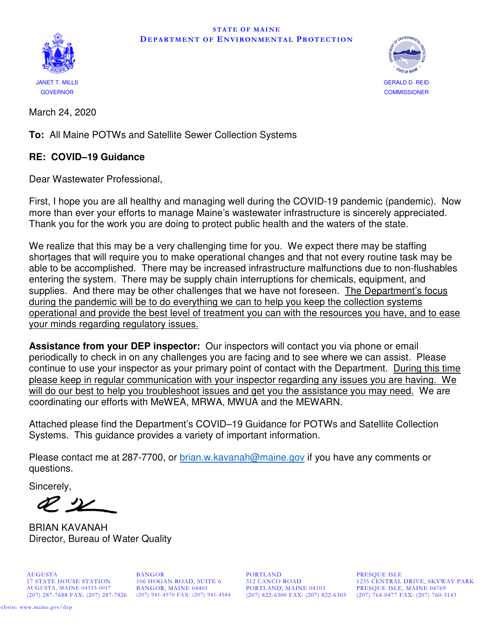



March 24, 2020

**To:** All Maine POTWs and Satellite Sewer Collection Systems

#### **RE: COVID–19 Guidance**

Dear Wastewater Professional,

First, I hope you are all healthy and managing well during the COVID-19 pandemic (pandemic). Now more than ever your efforts to manage Maine's wastewater infrastructure is sincerely appreciated. Thank you for the work you are doing to protect public health and the waters of the state.

We realize that this may be a very challenging time for you. We expect there may be staffing shortages that will require you to make operational changes and that not every routine task may be able to be accomplished. There may be increased infrastructure malfunctions due to non-flushables entering the system. There may be supply chain interruptions for chemicals, equipment, and supplies. And there may be other challenges that we have not foreseen. The Department's focus during the pandemic will be to do everything we can to help you keep the collection systems operational and provide the best level of treatment you can with the resources you have, and to ease your minds regarding regulatory issues.

**Assistance from your DEP inspector:** Our inspectors will contact you via phone or email periodically to check in on any challenges you are facing and to see where we can assist. Please continue to use your inspector as your primary point of contact with the Department. During this time please keep in regular communication with your inspector regarding any issues you are having. We will do our best to help you troubleshoot issues and get you the assistance you may need. We are coordinating our efforts with MeWEA, MRWA, MWUA and the MEWARN.

Attached please find the Department's COVID–19 Guidance for POTWs and Satellite Collection Systems. This guidance provides a variety of important information.

Please contact me at 287-7700, or brian.w.kavanah@maine.gov if you have any comments or questions.

Sincerely,

 $\mathscr{P}$ 

BRIAN KAVANAH Director, Bureau of Water Quality

AUGUSTA BANGOR BORTLAND PRESQUE ISLE 17 STATE HOUSE STATION 106 HOGAN ROAD, SUITE 6 312 CANCO ROAD 1235 CENTRAL

AUGUSTA, MAINE 04333-0017 BANGOR, MAINE 04401 PORTLAND, MAINE 04103 PRESQUE ISLE, MAINE 04769 (207) 822-6300 FAX: (207) 822-6303 (207) 764-0477 FAX: (207) 760-3143

17 STATE HOUSE STATION 106 HOGAN ROAD, SUITE 6 312 CANCO ROAD 1235 CENTRAL DRIVE, SKYWAY PARK AUGUSTA, MAINE 04333-0017 BANGOR, MAINE 04401 PORTLAND, MAINE 04103 PRESQUE ISLE, MAINE 04769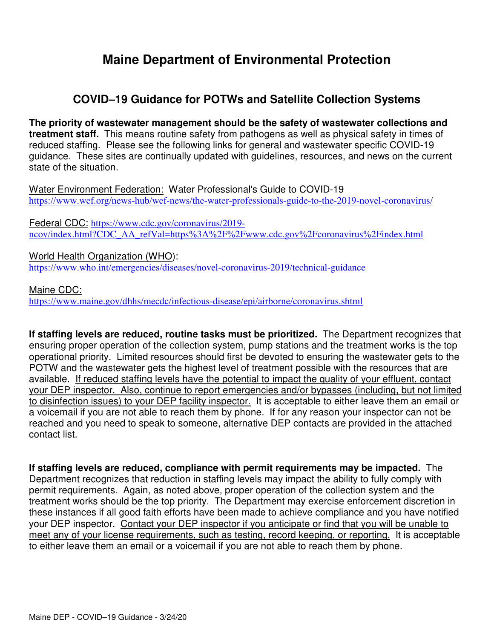# **Maine Department of Environmental Protection**

### **COVID–19 Guidance for POTWs and Satellite Collection Systems**

**The priority of wastewater management should be the safety of wastewater collections and treatment staff.** This means routine safety from pathogens as well as physical safety in times of reduced staffing. Please see the following links for general and wastewater specific COVID-19 guidance. These sites are continually updated with guidelines, resources, and news on the current state of the situation.

Water Environment Federation: Water Professional's Guide to COVID-19 https://www.wef.org/news-hub/wef-news/the-water-professionals-guide-to-the-2019-novel-coronavirus/

Federal CDC: https://www.cdc.gov/coronavirus/2019 ncov/index.html?CDC\_AA\_refVal=https%3A%2F%2Fwww.cdc.gov%2Fcoronavirus%2Findex.html

World Health Organization (WHO): https://www.who.int/emergencies/diseases/novel-coronavirus-2019/technical-guidance

Maine CDC: https://www.maine.gov/dhhs/mecdc/infectious-disease/epi/airborne/coronavirus.shtml

**If staffing levels are reduced, routine tasks must be prioritized.** The Department recognizes that ensuring proper operation of the collection system, pump stations and the treatment works is the top operational priority. Limited resources should first be devoted to ensuring the wastewater gets to the POTW and the wastewater gets the highest level of treatment possible with the resources that are available. If reduced staffing levels have the potential to impact the quality of your effluent, contact your DEP inspector. Also, continue to report emergencies and/or bypasses (including, but not limited to disinfection issues) to your DEP facility inspector. It is acceptable to either leave them an email or a voicemail if you are not able to reach them by phone. If for any reason your inspector can not be reached and you need to speak to someone, alternative DEP contacts are provided in the attached contact list.

**If staffing levels are reduced, compliance with permit requirements may be impacted.** The Department recognizes that reduction in staffing levels may impact the ability to fully comply with permit requirements. Again, as noted above, proper operation of the collection system and the treatment works should be the top priority. The Department may exercise enforcement discretion in these instances if all good faith efforts have been made to achieve compliance and you have notified your DEP inspector. Contact your DEP inspector if you anticipate or find that you will be unable to meet any of your license requirements, such as testing, record keeping, or reporting. It is acceptable to either leave them an email or a voicemail if you are not able to reach them by phone.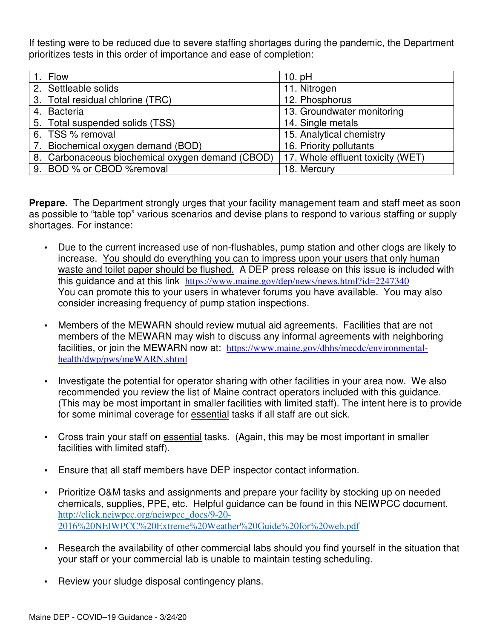If testing were to be reduced due to severe staffing shortages during the pandemic, the Department prioritizes tests in this order of importance and ease of completion:

| 1. Flow |                                                  | 10. $pH$                          |
|---------|--------------------------------------------------|-----------------------------------|
|         | 2. Settleable solids                             | 11. Nitrogen                      |
|         | 3. Total residual chlorine (TRC)                 | 12. Phosphorus                    |
|         | 4. Bacteria                                      | 13. Groundwater monitoring        |
|         | 5. Total suspended solids (TSS)                  | 14. Single metals                 |
|         | 6. TSS % removal                                 | 15. Analytical chemistry          |
|         | 7. Biochemical oxygen demand (BOD)               | 16. Priority pollutants           |
|         | 8. Carbonaceous biochemical oxygen demand (CBOD) | 17. Whole effluent toxicity (WET) |
|         | 9. BOD % or CBOD %removal                        | 18. Mercury                       |

**Prepare.** The Department strongly urges that your facility management team and staff meet as soon as possible to "table top" various scenarios and devise plans to respond to various staffing or supply shortages. For instance:

- Due to the current increased use of non-flushables, pump station and other clogs are likely to increase. You should do everything you can to impress upon your users that only human waste and toilet paper should be flushed. A DEP press release on this issue is included with this guidance and at this link https://www.maine.gov/dep/news/news.html?id=2247340 You can promote this to your users in whatever forums you have available. You may also consider increasing frequency of pump station inspections.
- Members of the MEWARN should review mutual aid agreements. Facilities that are not members of the MEWARN may wish to discuss any informal agreements with neighboring facilities, or join the MEWARN now at: https://www.maine.gov/dhhs/mecdc/environmentalhealth/dwp/pws/meWARN.shtml
- Investigate the potential for operator sharing with other facilities in your area now. We also recommended you review the list of Maine contract operators included with this guidance. (This may be most important in smaller facilities with limited staff). The intent here is to provide for some minimal coverage for essential tasks if all staff are out sick.
- Cross train your staff on essential tasks. (Again, this may be most important in smaller facilities with limited staff).
- Ensure that all staff members have DEP inspector contact information.
- Prioritize O&M tasks and assignments and prepare your facility by stocking up on needed chemicals, supplies, PPE, etc. Helpful guidance can be found in this NEIWPCC document. http://click.neiwpcc.org/neiwpcc\_docs/9-20- 2016%20NEIWPCC%20Extreme%20Weather%20Guide%20for%20web.pdf
- Research the availability of other commercial labs should you find yourself in the situation that your staff or your commercial lab is unable to maintain testing scheduling.
- Review your sludge disposal contingency plans.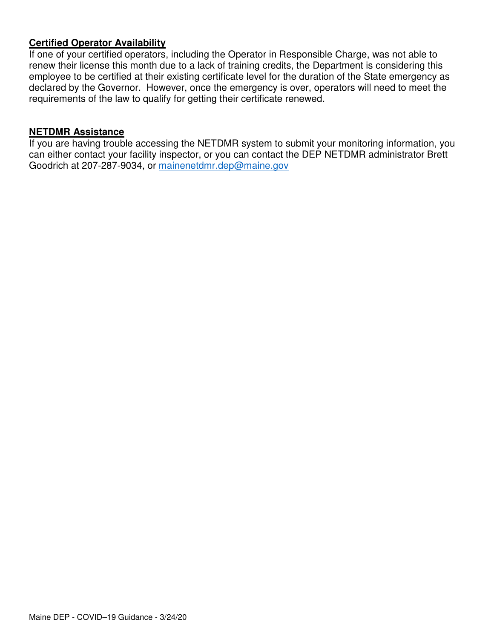#### **Certified Operator Availability**

If one of your certified operators, including the Operator in Responsible Charge, was not able to renew their license this month due to a lack of training credits, the Department is considering this employee to be certified at their existing certificate level for the duration of the State emergency as declared by the Governor. However, once the emergency is over, operators will need to meet the requirements of the law to qualify for getting their certificate renewed.

#### **NETDMR Assistance**

If you are having trouble accessing the NETDMR system to submit your monitoring information, you can either contact your facility inspector, or you can contact the DEP NETDMR administrator Brett Goodrich at 207-287-9034, or mainenetdmr.dep@maine.gov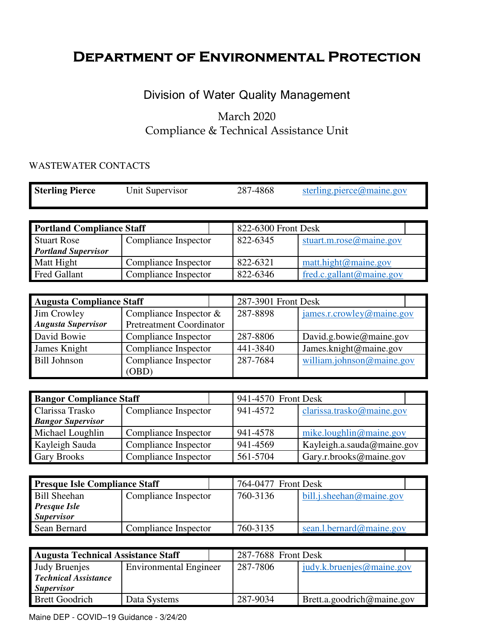# **Department of Environmental Protection**

### Division of Water Quality Management

### March 2020 Compliance & Technical Assistance Unit

#### WASTEWATER CONTACTS

| <b>Sterling Pierce</b>           | Unit Supervisor      | 287-4868                            | sterling.pierce@maine.gov      |
|----------------------------------|----------------------|-------------------------------------|--------------------------------|
|                                  |                      |                                     |                                |
| <b>Portland Compliance Staff</b> |                      | 822-6300 Front Desk                 |                                |
| <b>Stuart Rose</b>               | Compliance Inspector | 822-6345<br>stuart.m.rose@maine.gov |                                |
| <b>Portland Supervisor</b>       |                      |                                     |                                |
| Matt Hight                       | Compliance Inspector | 822-6321                            | $\text{matt}$ .hight@maine.gov |
| <b>Fred Gallant</b>              | Compliance Inspector | 822-6346                            | fred.c.gallant@maine.gov       |

| <b>Augusta Compliance Staff</b> |                          |  | 287-3901 Front Desk |                           |  |
|---------------------------------|--------------------------|--|---------------------|---------------------------|--|
| Jim Crowley                     | Compliance Inspector $&$ |  | 287-8898            | james.r.crowley@maine.gov |  |
| <b>Augusta Supervisor</b>       | Pretreatment Coordinator |  |                     |                           |  |
| David Bowie                     | Compliance Inspector     |  | 287-8806            | David.g.bowie@maine.gov   |  |
| James Knight                    | Compliance Inspector     |  | 441-3840            | James.knight@maine.gov    |  |
| <b>Bill Johnson</b>             | Compliance Inspector     |  | 287-7684            | william.johnson@maine.gov |  |
|                                 | (OBD)                    |  |                     |                           |  |

| <b>Bangor Compliance Staff</b> |                      |  | 941-4570 Front Desk |                            |
|--------------------------------|----------------------|--|---------------------|----------------------------|
| Clarissa Trasko                | Compliance Inspector |  | 941-4572            | clarissa.trasko@maine.gov  |
| <b>Bangor Supervisor</b>       |                      |  |                     |                            |
| Michael Loughlin               | Compliance Inspector |  | 941-4578            | mike.loughlin@maine.gov    |
| Kayleigh Sauda                 | Compliance Inspector |  | 941-4569            | Kayleigh.a.sauda@maine.gov |
| <b>Gary Brooks</b>             | Compliance Inspector |  | 561-5704            | Gary.r.brooks@maine.gov    |

| <b>Presque Isle Compliance Staff</b> |                      |  | 764-0477 Front Desk |                          |  |
|--------------------------------------|----------------------|--|---------------------|--------------------------|--|
| <b>Bill Sheehan</b>                  | Compliance Inspector |  | 760-3136            | bill.j.sheehan@maine.gov |  |
| <b>Presque Isle</b>                  |                      |  |                     |                          |  |
| <b>Supervisor</b>                    |                      |  |                     |                          |  |
| Sean Bernard                         | Compliance Inspector |  | 760-3135            | sean.l.bernard@maine.gov |  |

| <b>Augusta Technical Assistance Staff</b> |                               |  | 287-7688 Front Desk |                            |  |
|-------------------------------------------|-------------------------------|--|---------------------|----------------------------|--|
| Judy Bruenjes                             | <b>Environmental Engineer</b> |  | 287-7806            | judy.k.bruenjes@maine.gov  |  |
| <b>Technical Assistance</b>               |                               |  |                     |                            |  |
| <i>Supervisor</i>                         |                               |  |                     |                            |  |
| <b>Brett Goodrich</b>                     | Data Systems                  |  | 287-9034            | Brett.a.goodrich@maine.gov |  |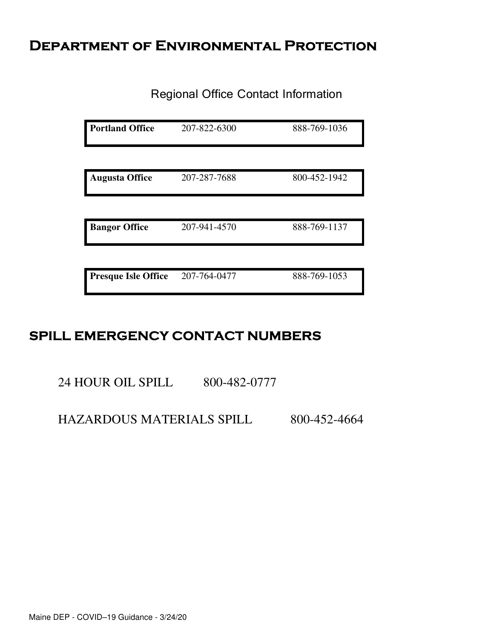# **Department of Environmental Protection**

Regional Office Contact Information

| <b>Portland Office</b>     | 207-822-6300 | 888-769-1036 |
|----------------------------|--------------|--------------|
|                            |              |              |
| <b>Augusta Office</b>      | 207-287-7688 | 800-452-1942 |
|                            |              |              |
| <b>Bangor Office</b>       | 207-941-4570 | 888-769-1137 |
|                            |              |              |
| <b>Presque Isle Office</b> | 207-764-0477 | 888-769-1053 |

# **SPILL EMERGENCY CONTACT NUMBERS**

24 HOUR OIL SPILL 800-482-0777

HAZARDOUS MATERIALS SPILL 800-452-4664